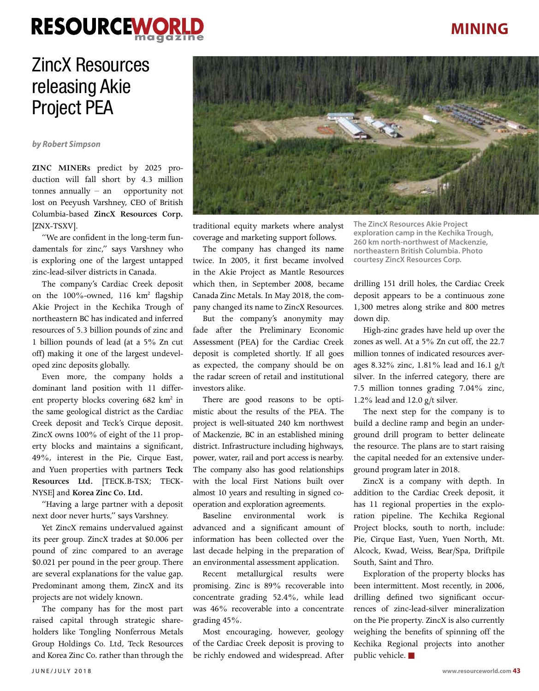# **RESOURCEWORK**

### **MINING**

## ZincX Resources releasing Akie Project PEA

#### *by Robert Simpson*

**ZINC MINER**s predict by 2025 production will fall short by 4.3 million tonnes annually – an opportunity not lost on Peeyush Varshney, CEO of British Columbia-based **ZincX Resources Corp.** [ZNX-TSXV].

"We are confident in the long-term fundamentals for zinc," says Varshney who is exploring one of the largest untapped zinc-lead-silver districts in Canada.

The company's Cardiac Creek deposit on the 100%-owned, 116 km<sup>2</sup> flagship Akie Project in the Kechika Trough of northeastern BC has indicated and inferred resources of 5.3 billion pounds of zinc and 1 billion pounds of lead (at a 5% Zn cut off) making it one of the largest undeveloped zinc deposits globally.

Even more, the company holds a dominant land position with 11 different property blocks covering 682 km<sup>2</sup> in the same geological district as the Cardiac Creek deposit and Teck's Cirque deposit. ZincX owns 100% of eight of the 11 property blocks and maintains a significant, 49%, interest in the Pie, Cirque East, and Yuen properties with partners **Teck Resources Ltd.** [TECK.B-TSX; TECK-NYSE] and **Korea Zinc Co. Ltd.**

"Having a large partner with a deposit next door never hurts," says Varshney.

Yet ZincX remains undervalued against its peer group. ZincX trades at \$0.006 per pound of zinc compared to an average \$0.021 per pound in the peer group. There are several explanations for the value gap. Predominant among them, ZincX and its projects are not widely known.

The company has for the most part raised capital through strategic shareholders like Tongling Nonferrous Metals Group Holdings Co. Ltd, Teck Resources and Korea Zinc Co. rather than through the



traditional equity markets where analyst coverage and marketing support follows.

The company has changed its name twice. In 2005, it first became involved in the Akie Project as Mantle Resources which then, in September 2008, became Canada Zinc Metals. In May 2018, the company changed its name to ZincX Resources.

But the company's anonymity may fade after the Preliminary Economic Assessment (PEA) for the Cardiac Creek deposit is completed shortly. If all goes as expected, the company should be on the radar screen of retail and institutional investors alike.

There are good reasons to be optimistic about the results of the PEA. The project is well-situated 240 km northwest of Mackenzie, BC in an established mining district. Infrastructure including highways, power, water, rail and port access is nearby. The company also has good relationships with the local First Nations built over almost 10 years and resulting in signed cooperation and exploration agreements.

Baseline environmental work is advanced and a significant amount of information has been collected over the last decade helping in the preparation of an environmental assessment application.

Recent metallurgical results were promising. Zinc is 89% recoverable into concentrate grading 52.4%, while lead was 46% recoverable into a concentrate grading 45%.

Most encouraging, however, geology of the Cardiac Creek deposit is proving to be richly endowed and widespread. After

**The ZincX Resources Akie Project exploration camp in the Kechika Trough, 260 km north-northwest of Mackenzie, northeastern British Columbia. Photo courtesy ZincX Resources Corp.**

drilling 151 drill holes, the Cardiac Creek deposit appears to be a continuous zone 1,300 metres along strike and 800 metres down dip.

High-zinc grades have held up over the zones as well. At a 5% Zn cut off, the 22.7 million tonnes of indicated resources averages 8.32% zinc, 1.81% lead and 16.1 g/t silver. In the inferred category, there are 7.5 million tonnes grading 7.04% zinc, 1.2% lead and 12.0 g/t silver.

The next step for the company is to build a decline ramp and begin an underground drill program to better delineate the resource. The plans are to start raising the capital needed for an extensive underground program later in 2018.

ZincX is a company with depth. In addition to the Cardiac Creek deposit, it has 11 regional properties in the exploration pipeline. The Kechika Regional Project blocks, south to north, include: Pie, Cirque East, Yuen, Yuen North, Mt. Alcock, Kwad, Weiss, Bear/Spa, Driftpile South, Saint and Thro.

Exploration of the property blocks has been intermittent. Most recently, in 2006, drilling defined two significant occurrences of zinc-lead-silver mineralization on the Pie property. ZincX is also currently weighing the benefits of spinning off the Kechika Regional projects into another public vehicle.  $\blacksquare$